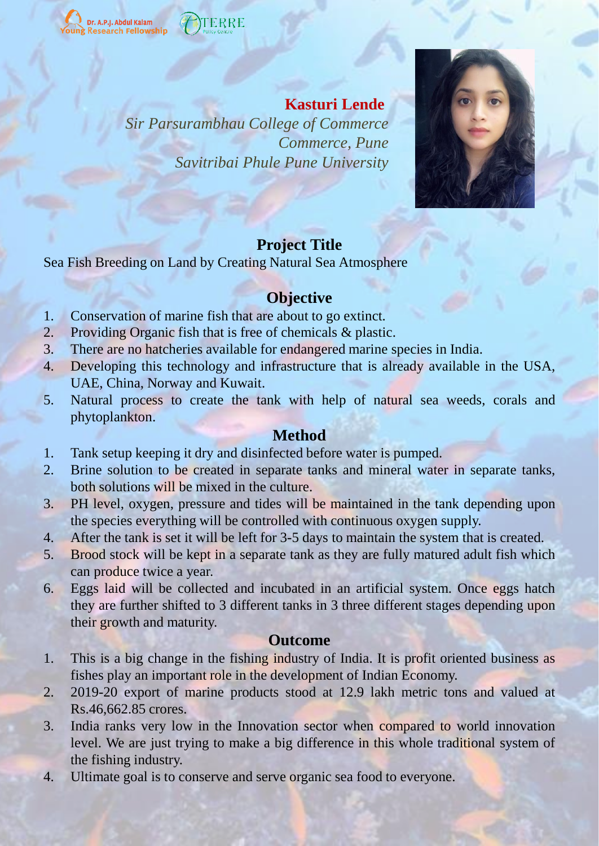<mark>Dr. A.P.J. Abdul Kalam</mark><br>Research Fellowship

### **Kasturi Lende**

*Sir Parsurambhau College of Commerce Commerce, Pune Savitribai Phule Pune University*



## **Project Title**

Sea Fish Breeding on Land by Creating Natural Sea Atmosphere

## **Objective**

- 1. Conservation of marine fish that are about to go extinct.
- 2. Providing Organic fish that is free of chemicals & plastic.
- 3. There are no hatcheries available for endangered marine species in India.
- 4. Developing this technology and infrastructure that is already available in the USA, UAE, China, Norway and Kuwait.
- 5. Natural process to create the tank with help of natural sea weeds, corals and phytoplankton.

### **Method**

- 1. Tank setup keeping it dry and disinfected before water is pumped.
- 2. Brine solution to be created in separate tanks and mineral water in separate tanks, both solutions will be mixed in the culture.
- 3. PH level, oxygen, pressure and tides will be maintained in the tank depending upon the species everything will be controlled with continuous oxygen supply.
- 4. After the tank is set it will be left for 3-5 days to maintain the system that is created.
- 5. Brood stock will be kept in a separate tank as they are fully matured adult fish which can produce twice a year.
- 6. Eggs laid will be collected and incubated in an artificial system. Once eggs hatch they are further shifted to 3 different tanks in 3 three different stages depending upon their growth and maturity.

### **Outcome**

- 1. This is a big change in the fishing industry of India. It is profit oriented business as fishes play an important role in the development of Indian Economy.
- 2. 2019-20 export of marine products stood at 12.9 lakh metric tons and valued at Rs.46,662.85 crores.
- 3. India ranks very low in the Innovation sector when compared to world innovation level. We are just trying to make a big difference in this whole traditional system of the fishing industry.
- 4. Ultimate goal is to conserve and serve organic sea food to everyone.